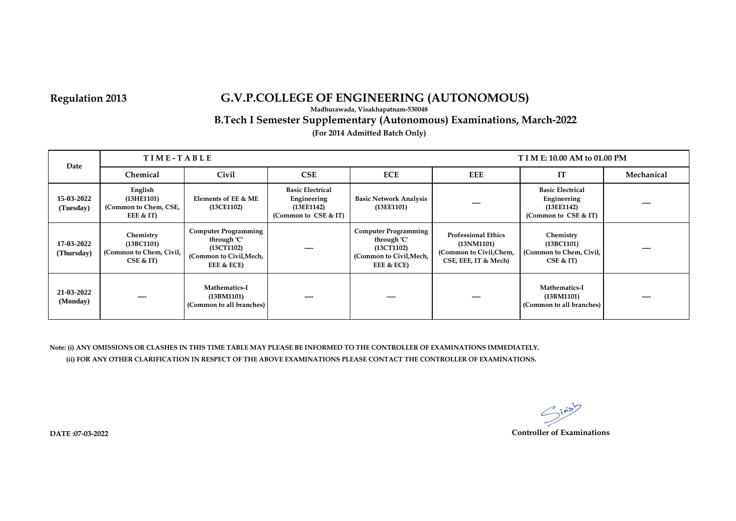**Madhurawada, Visakhapatnam-530048**

 **B.Tech I Semester Supplementary (Autonomous) Examinations, March-2022**

**(For 2014 Admitted Batch Only)**

| Date                     | TIME-TABLE<br>T I M E: 10.00 AM to 01.00 PM                   |                                                                                                   |                                                                              |                                                                                                   |                                                                                            |                                                                              |            |
|--------------------------|---------------------------------------------------------------|---------------------------------------------------------------------------------------------------|------------------------------------------------------------------------------|---------------------------------------------------------------------------------------------------|--------------------------------------------------------------------------------------------|------------------------------------------------------------------------------|------------|
|                          | Chemical                                                      | Civil                                                                                             | <b>CSE</b>                                                                   | <b>ECE</b>                                                                                        | <b>EEE</b>                                                                                 | IT                                                                           | Mechanical |
| 15-03-2022<br>(Tuesday)  | English<br>(13HE1101)<br>(Common to Chem, CSE,<br>EEE $<$ IT) | Elements of EE & ME<br>(13CE1102)                                                                 | <b>Basic Electrical</b><br>Engineering<br>(13EE1142)<br>(Common to CSE & IT) | <b>Basic Network Analysis</b><br>(13E E1101)                                                      |                                                                                            | <b>Basic Electrical</b><br>Engineering<br>(13EE1142)<br>(Common to CSE & IT) | ----       |
| 17-03-2022<br>(Thursday) | Chemistry<br>(13BC1101)<br>(Common to Chem, Civil,<br>CSE & T | <b>Computer Programming</b><br>through 'C'<br>(13CT1102)<br>(Common to Civil, Mech,<br>EEE & ECE) |                                                                              | <b>Computer Programming</b><br>through 'C'<br>(13CT1102)<br>(Common to Civil, Mech,<br>EEE & ECE) | <b>Professional Ethics</b><br>(13NM1101)<br>(Common to Civil,Chem,<br>CSE, EEE, IT & Mech) | Chemistry<br>(13BC1101)<br>(Common to Chem, Civil,<br>CSE & T                |            |
| 21-03-2022<br>(Monday)   |                                                               | Mathematics-I<br>(13BM1101)<br>(Common to all branches)                                           |                                                                              |                                                                                                   | ----                                                                                       | Mathematics-I<br>(13BM1101)<br>(Common to all branches)                      | ----       |

**Note: (i) ANY OMISSIONS OR CLASHES IN THIS TIME TABLE MAY PLEASE BE INFORMED TO THE CONTROLLER OF EXAMINATIONS IMMEDIATELY. (ii) FOR ANY OTHER CLARIFICATION IN RESPECT OF THE ABOVE EXAMINATIONS PLEASE CONTACT THE CONTROLLER OF EXAMINATIONS.**

> $2i5$ **Controller of Examinations**

**DATE :07-03-2022**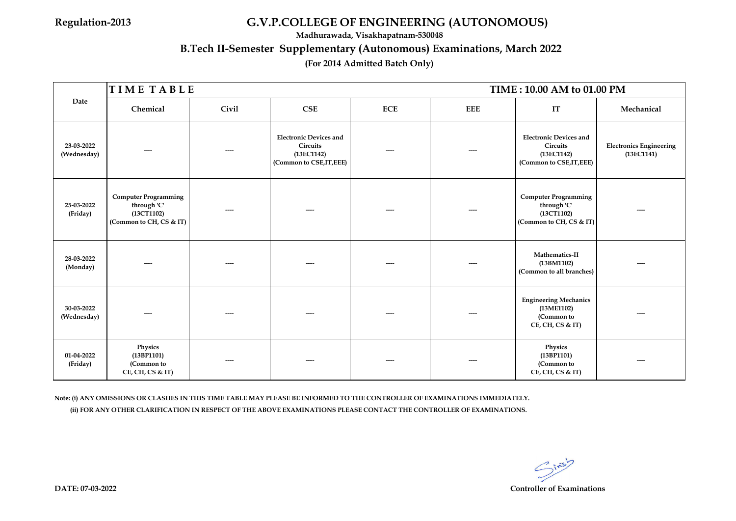**Madhurawada, Visakhapatnam-530048**

## **B.Tech II-Semester Supplementary (Autonomous) Examinations, March 2022**

## **(For 2014 Admitted Batch Only)**

|                           | TIME TABLE<br>TIME: 10.00 AM to 01.00 PM                                            |       |                                                                                            |            |     |                                                                                     |                                              |  |  |
|---------------------------|-------------------------------------------------------------------------------------|-------|--------------------------------------------------------------------------------------------|------------|-----|-------------------------------------------------------------------------------------|----------------------------------------------|--|--|
| Date                      | Chemical                                                                            | Civil | CSE                                                                                        | <b>ECE</b> | EEE | IT                                                                                  | Mechanical                                   |  |  |
| 23-03-2022<br>(Wednesday) |                                                                                     |       | <b>Electronic Devices and</b><br><b>Circuits</b><br>(13EC1142)<br>(Common to CSE, IT, EEE) |            |     | <b>Electronic Devices and</b><br>Circuits<br>(13EC1142)<br>(Common to CSE, IT, EEE) | <b>Electronics Engineering</b><br>(13EC1141) |  |  |
| 25-03-2022<br>(Friday)    | <b>Computer Programming</b><br>through 'C'<br>(13CT1102)<br>(Common to CH, CS & IT) |       |                                                                                            |            |     | <b>Computer Programming</b><br>through 'C'<br>(13CT1102)<br>(Common to CH, CS & IT) |                                              |  |  |
| 28-03-2022<br>(Monday)    |                                                                                     |       |                                                                                            |            |     | Mathematics-II<br>(13BM1102)<br>(Common to all branches)                            |                                              |  |  |
| 30-03-2022<br>(Wednesday) |                                                                                     |       |                                                                                            |            |     | <b>Engineering Mechanics</b><br>(13ME1102)<br>(Common to<br>CE, CH, CS & IT)        |                                              |  |  |
| 01-04-2022<br>(Friday)    | Physics<br>(13BP1101)<br>(Common to<br>CE, CH, CS & IT)                             |       |                                                                                            |            |     | Physics<br>(13BP1101)<br>(Common to<br>$CE$ , CH, CS & IT)                          |                                              |  |  |

**Note: (i) ANY OMISSIONS OR CLASHES IN THIS TIME TABLE MAY PLEASE BE INFORMED TO THE CONTROLLER OF EXAMINATIONS IMMEDIATELY. (ii) FOR ANY OTHER CLARIFICATION IN RESPECT OF THE ABOVE EXAMINATIONS PLEASE CONTACT THE CONTROLLER OF EXAMINATIONS.**

 $G^{i*5}$ 

**DATE: 07-03-2022 Controller of Examinations**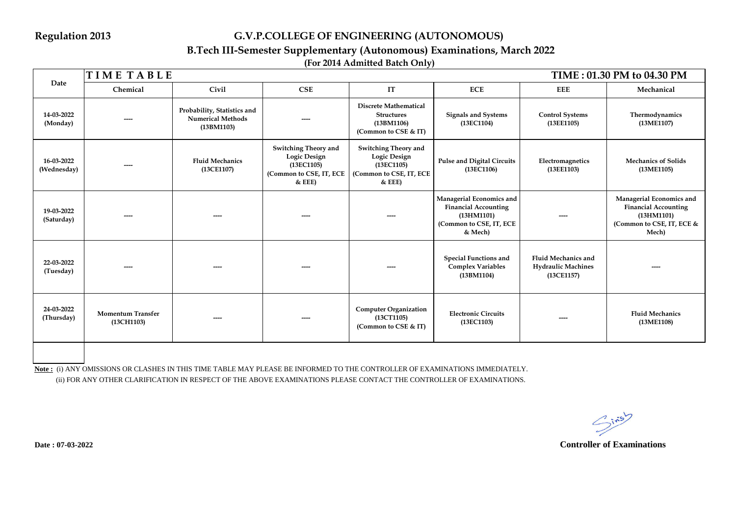## **B.Tech III-Semester Supplementary (Autonomous) Examinations, March 2022**

**(For 2014 Admitted Batch Only)**

|                           | <b>TIMETABLE</b><br>TIME: 01.30 PM to 04.30 PM |                                                                       |                                                                                                  |                                                                                                  |                                                                                                             |                                                                       |                                                                                                             |  |  |
|---------------------------|------------------------------------------------|-----------------------------------------------------------------------|--------------------------------------------------------------------------------------------------|--------------------------------------------------------------------------------------------------|-------------------------------------------------------------------------------------------------------------|-----------------------------------------------------------------------|-------------------------------------------------------------------------------------------------------------|--|--|
| Date                      | Chemical                                       | Civil                                                                 | <b>CSE</b>                                                                                       | IT                                                                                               | <b>ECE</b>                                                                                                  | <b>EEE</b>                                                            | Mechanical                                                                                                  |  |  |
| 14-03-2022<br>(Monday)    |                                                | Probability, Statistics and<br><b>Numerical Methods</b><br>(13BM1103) | ----                                                                                             | <b>Discrete Mathematical</b><br><b>Structures</b><br>(13BM1106)<br>(Common to CSE & IT)          | <b>Signals and Systems</b><br>(13EC1104)                                                                    | <b>Control Systems</b><br>(13EE1105)                                  | Thermodynamics<br>(13ME1107)                                                                                |  |  |
| 16-03-2022<br>(Wednesday) |                                                | <b>Fluid Mechanics</b><br>(13CE1107)                                  | <b>Switching Theory and</b><br>Logic Design<br>(13EC1105)<br>(Common to CSE, IT, ECE<br>$&$ EEE) | <b>Switching Theory and</b><br>Logic Design<br>(13EC1105)<br>(Common to CSE, IT, ECE<br>$&$ EEE) | <b>Pulse and Digital Circuits</b><br>(13EC1106)                                                             | Electromagnetics<br>(13EE1103)                                        | <b>Mechanics of Solids</b><br>(13ME1105)                                                                    |  |  |
| 19-03-2022<br>(Saturday)  |                                                |                                                                       | ----                                                                                             |                                                                                                  | Managerial Economics and<br><b>Financial Accounting</b><br>(13HM1101)<br>(Common to CSE, IT, ECE<br>& Mech) |                                                                       | Managerial Economics and<br><b>Financial Accounting</b><br>(13HM1101)<br>(Common to CSE, IT, ECE &<br>Mech) |  |  |
| 22-03-2022<br>(Tuesday)   |                                                |                                                                       |                                                                                                  |                                                                                                  | <b>Special Functions and</b><br><b>Complex Variables</b><br>(13BM1104)                                      | <b>Fluid Mechanics and</b><br><b>Hydraulic Machines</b><br>(13CE1157) |                                                                                                             |  |  |
| 24-03-2022<br>(Thursday)  | <b>Momentum Transfer</b><br>(13CH1103)         |                                                                       | ----                                                                                             | <b>Computer Organization</b><br>(13CT1105)<br>(Common to CSE & IT)                               | <b>Electronic Circuits</b><br>(13EC1103)                                                                    |                                                                       | <b>Fluid Mechanics</b><br>(13ME1108)                                                                        |  |  |
|                           |                                                |                                                                       |                                                                                                  |                                                                                                  |                                                                                                             |                                                                       |                                                                                                             |  |  |

**Note :** (i) ANY OMISSIONS OR CLASHES IN THIS TIME TABLE MAY PLEASE BE INFORMED TO THE CONTROLLER OF EXAMINATIONS IMMEDIATELY. (ii) FOR ANY OTHER CLARIFICATION IN RESPECT OF THE ABOVE EXAMINATIONS PLEASE CONTACT THE CONTROLLER OF EXAMINATIONS.

 $S^{in5}$ 

**Controller of Examinations**

**Date : 07-03-2022**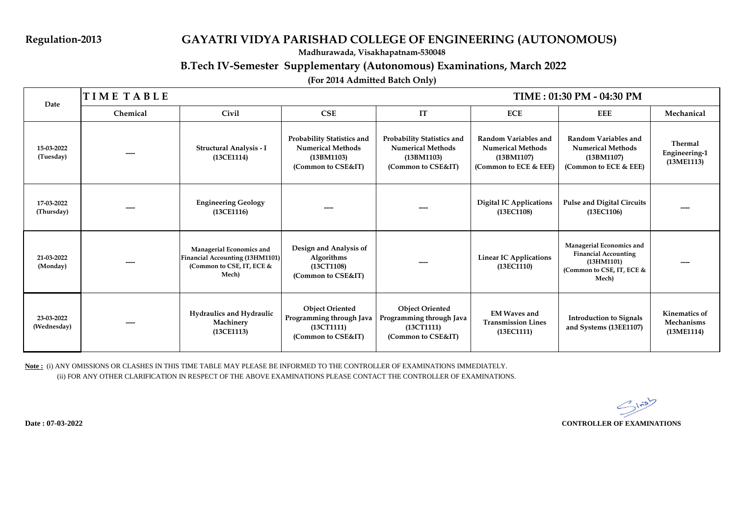## **Regulation-2013 GAYATRI VIDYA PARISHAD COLLEGE OF ENGINEERING (AUTONOMOUS)**

**Madhurawada, Visakhapatnam-530048**

## **B.Tech IV-Semester Supplementary (Autonomous) Examinations, March 2022**

## **(For 2014 Admitted Batch Only)**

| Date                      | <b>TIME TABLE</b> |                                                                                                   |                                                                                                   | TIME: 01:30 PM - 04:30 PM                                                                  |                                                                                         |                                                                                                             |                                                  |  |
|---------------------------|-------------------|---------------------------------------------------------------------------------------------------|---------------------------------------------------------------------------------------------------|--------------------------------------------------------------------------------------------|-----------------------------------------------------------------------------------------|-------------------------------------------------------------------------------------------------------------|--------------------------------------------------|--|
|                           | Chemical          | Civil                                                                                             | CSE                                                                                               | IT                                                                                         | ECE                                                                                     | EEE                                                                                                         | Mechanical                                       |  |
| 15-03-2022<br>(Tuesday)   |                   | Structural Analysis - I<br>(13CE1114)                                                             | <b>Probability Statistics and</b><br><b>Numerical Methods</b><br>(13BM1103)<br>(Common to CSE&IT) | Probability Statistics and<br><b>Numerical Methods</b><br>(13BM1103)<br>(Common to CSE&IT) | Random Variables and<br><b>Numerical Methods</b><br>(13BM1107)<br>(Common to ECE & EEE) | Random Variables and<br><b>Numerical Methods</b><br>(13BM1107)<br>(Common to ECE & EEE)                     | Thermal<br><b>Engineering-1</b><br>(13ME1113)    |  |
| 17-03-2022<br>(Thursday)  |                   | <b>Engineering Geology</b><br>(13CE1116)                                                          |                                                                                                   |                                                                                            | <b>Digital IC Applications</b><br>(13EC1108)                                            | <b>Pulse and Digital Circuits</b><br>(13EC1106)                                                             |                                                  |  |
| 21-03-2022<br>(Monday)    |                   | Managerial Economics and<br>Financial Accounting (13HM1101)<br>(Common to CSE, IT, ECE &<br>Mech) | Design and Analysis of<br>Algorithms<br>(13CT1108)<br>(Common to CSE&IT)                          |                                                                                            | <b>Linear IC Applications</b><br>(13EC1110)                                             | Managerial Economics and<br><b>Financial Accounting</b><br>(13HM1101)<br>(Common to CSE, IT, ECE &<br>Mech) |                                                  |  |
| 23-03-2022<br>(Wednesday) |                   | Hydraulics and Hydraulic<br>Machinery<br>(13CE1113)                                               | <b>Object Oriented</b><br>Programming through Java<br>(13CT1111)<br>(Common to CSE&IT)            | <b>Object Oriented</b><br>Programming through Java<br>(13CT1111)<br>(Common to CSE&IT)     | <b>EM Waves and</b><br><b>Transmission Lines</b><br>(13EC1111)                          | <b>Introduction to Signals</b><br>and Systems (13EE1107)                                                    | <b>Kinematics of</b><br>Mechanisms<br>(13ME1114) |  |

**Note :** (i) ANY OMISSIONS OR CLASHES IN THIS TIME TABLE MAY PLEASE BE INFORMED TO THE CONTROLLER OF EXAMINATIONS IMMEDIATELY. (ii) FOR ANY OTHER CLARIFICATION IN RESPECT OF THE ABOVE EXAMINATIONS PLEASE CONTACT THE CONTROLLER OF EXAMINATIONS.

**Date : 07-03-2022 CONTROLLER OF EXAMINATIONS**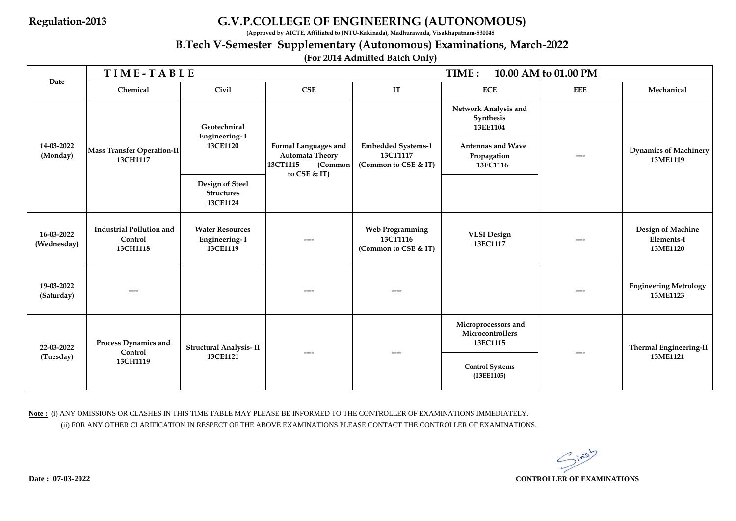**(Approved by AICTE, Affiliated to JNTU-Kakinada), Madhurawada, Visakhapatnam-530048**

# **B.Tech V-Semester Supplementary (Autonomous) Examinations, March-2022**

## **(For 2014 Admitted Batch Only)**

|                           | TIME-TABLE                                             |                                                                                                      |                                                                                       | TIME:<br>10.00 AM to 01.00 PM                                 |                                                     |            |                                             |
|---------------------------|--------------------------------------------------------|------------------------------------------------------------------------------------------------------|---------------------------------------------------------------------------------------|---------------------------------------------------------------|-----------------------------------------------------|------------|---------------------------------------------|
| Date                      | Chemical                                               | Civil                                                                                                | CSE                                                                                   | IT                                                            | <b>ECE</b>                                          | <b>EEE</b> | Mechanical                                  |
|                           | <b>Mass Transfer Operation-II</b><br>13CH1117          | Geotechnical<br><b>Engineering-I</b><br>13CE1120<br>Design of Steel<br><b>Structures</b><br>13CE1124 | Formal Languages and<br><b>Automata Theory</b><br>13CT1115<br>(Common<br>to CSE & IT) | <b>Embedded Systems-1</b><br>13CT1117<br>(Common to CSE & IT) | Network Analysis and<br>Synthesis<br>13EE1104       |            | <b>Dynamics of Machinery</b><br>13ME1119    |
| 14-03-2022<br>(Monday)    |                                                        |                                                                                                      |                                                                                       |                                                               | <b>Antennas and Wave</b><br>Propagation<br>13EC1116 | ----       |                                             |
|                           |                                                        |                                                                                                      |                                                                                       |                                                               |                                                     |            |                                             |
| 16-03-2022<br>(Wednesday) | <b>Industrial Pollution and</b><br>Control<br>13CH1118 | <b>Water Resources</b><br>Engineering-I<br>13CE1119                                                  |                                                                                       | <b>Web Programming</b><br>13CT1116<br>(Common to CSE & IT)    | <b>VLSI</b> Design<br>13EC1117                      |            | Design of Machine<br>Elements-I<br>13ME1120 |
| 19-03-2022<br>(Saturday)  |                                                        |                                                                                                      |                                                                                       |                                                               |                                                     |            | <b>Engineering Metrology</b><br>13ME1123    |
| 22-03-2022<br>(Tuesday)   | Process Dynamics and<br>Control<br>13CH1119            | Structural Analysis-II                                                                               |                                                                                       |                                                               | Microprocessors and<br>Microcontrollers<br>13EC1115 |            | <b>Thermal Engineering-II</b>               |
|                           |                                                        | 13CE1121                                                                                             |                                                                                       |                                                               | <b>Control Systems</b><br>(13EE1105)                |            | 13ME1121                                    |

**Note :** (i) ANY OMISSIONS OR CLASHES IN THIS TIME TABLE MAY PLEASE BE INFORMED TO THE CONTROLLER OF EXAMINATIONS IMMEDIATELY. (ii) FOR ANY OTHER CLARIFICATION IN RESPECT OF THE ABOVE EXAMINATIONS PLEASE CONTACT THE CONTROLLER OF EXAMINATIONS.

 $3.55$ **CONTROLLER OF EXAMINATIONS**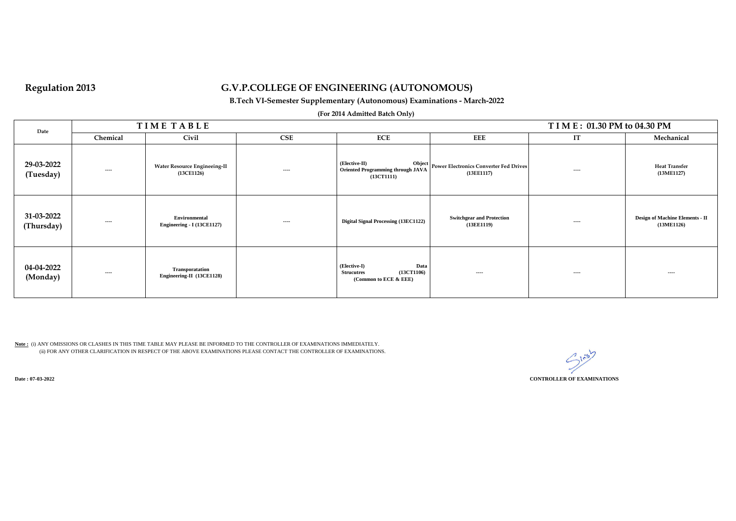### **B.Tech VI-Semester Supplementary (Autonomous) Examinations - March-2022**

### **(For 2014 Admitted Batch Only)**

| Date                     | TIME TABLE | T I M E: 01.30 PM to 04.30 PM                     |      |                                                                                  |                                                             |       |                                               |
|--------------------------|------------|---------------------------------------------------|------|----------------------------------------------------------------------------------|-------------------------------------------------------------|-------|-----------------------------------------------|
|                          | Chemical   | Civil                                             | CSE  | <b>ECE</b>                                                                       | <b>EEE</b>                                                  | IT    | Mechanical                                    |
| 29-03-2022<br>(Tuesday)  | ----       | <b>Water Resource Engineeing-II</b><br>(13CE1126) | ---- | (Elective-II)<br><b>Oriented Programming through JAVA</b><br>(13CT1111)          | Object Power Electronics Converter Fed Drives<br>(13EE1117) | $---$ | <b>Heat Transfer</b><br>(13ME1127)            |
| 31-03-2022<br>(Thursday) | ----       | Environmental<br>Engineering - I (13CE1127)       | ---- | Digital Signal Processing (13EC1122)                                             | <b>Switchgear and Protection</b><br>(13E E1119)             | ----  | Design of Machine Elements - II<br>(13ME1126) |
| 04-04-2022<br>(Monday)   | ----       | Transporatation<br>Engineering-II (13CE1128)      |      | Data<br>(Elective-I)<br>(13CT1106)<br><b>Strucutres</b><br>(Common to ECE & EEE) | ----                                                        | ----  | $---$                                         |

**Note :** (i) ANY OMISSIONS OR CLASHES IN THIS TIME TABLE MAY PLEASE BE INFORMED TO THE CONTROLLER OF EXAMINATIONS IMMEDIATELY. (ii) FOR ANY OTHER CLARIFICATION IN RESPECT OF THE ABOVE EXAMINATIONS PLEASE CONTACT THE CONTROLLER OF EXAMINATIONS.

 $C_{ji}$ **CONTROLLER OF EXAMINATIONS**

**Date : 07-03-2022**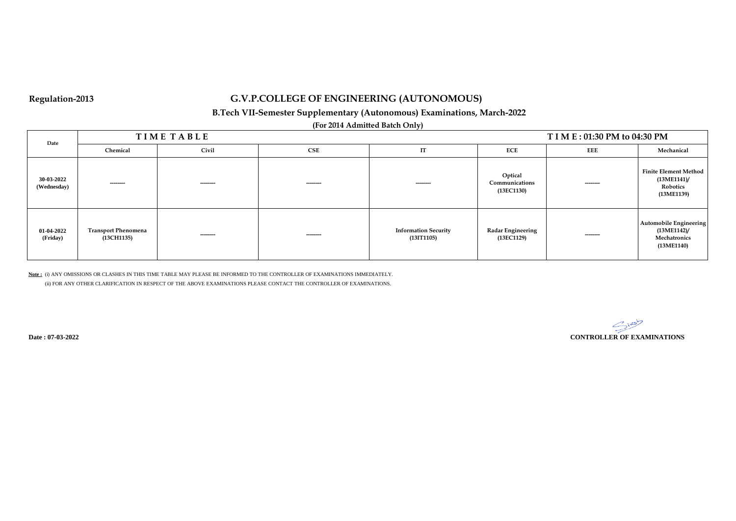## **B.Tech VII-Semester Supplementary (Autonomous) Examinations, March-2022**

**(For 2014 Admitted Batch Only)**

| Date                      | <b>TIMETABLE</b><br>T I M E : 01:30 PM to 04:30 PM |           |           |                                           |                                         |            |                                                                               |
|---------------------------|----------------------------------------------------|-----------|-----------|-------------------------------------------|-----------------------------------------|------------|-------------------------------------------------------------------------------|
|                           | Chemical                                           | Civil     | CSE       | IT                                        | <b>ECE</b>                              | <b>EEE</b> | Mechanical                                                                    |
| 30-03-2022<br>(Wednesday) | ---------                                          | --------- | --------- | ---------                                 | Optical<br>Communications<br>(13EC1130) | ---------  | <b>Finite Element Method</b><br>$(13ME1141)$ /<br>Robotics<br>(13ME1139)      |
| 01-04-2022<br>(Friday)    | <b>Transport Phenomena</b><br>(13CH1135)           | --------- | --------- | <b>Information Security</b><br>(131T1105) | <b>Radar Engineering</b><br>(13EC1129)  | ---------  | <b>Automobile Engineering</b><br>$(13ME1142)$ /<br>Mechatronics<br>(13ME1140) |

**Note :** (i) ANY OMISSIONS OR CLASHES IN THIS TIME TABLE MAY PLEASE BE INFORMED TO THE CONTROLLER OF EXAMINATIONS IMMEDIATELY.

(ii) FOR ANY OTHER CLARIFICATION IN RESPECT OF THE ABOVE EXAMINATIONS PLEASE CONTACT THE CONTROLLER OF EXAMINATIONS.